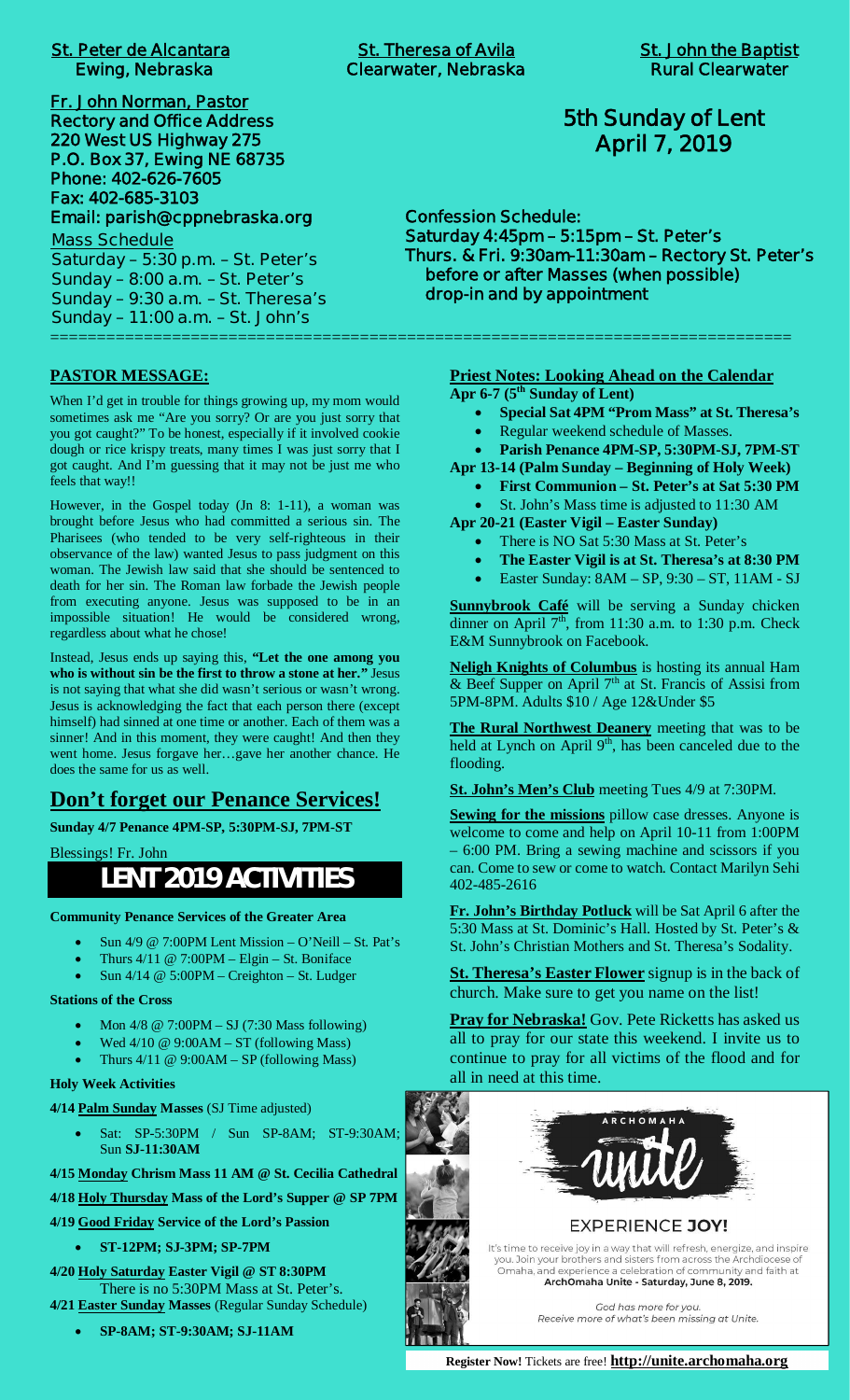| <b>St. Peter de Alcantara</b><br><b>Ewing, Nebraska</b> |
|---------------------------------------------------------|
| Fr. John Norman, Pastor                                 |
| <b>Rectory and Office Address</b>                       |
| 220 West US Highway 275                                 |
| P.O. Box 37, Ewing NE 68735                             |
| Phone: 402-626-7605                                     |
| Fax: 402-685-3103                                       |
| Email: parish@cppnebraska.org                           |
| <b>Mass Schedule</b>                                    |
| Saturday - 5:30 p.m. - St. Peter's                      |
| Sunday $-8:00$ a.m. $-St.$ Peter's                      |
| Sunday - 9:30 a.m. - St. Theresa's                      |
| Sunday - 11:00 a.m. - St. John's                        |

**PASTOR MESSAGE:**

When I'd get in trouble for things growing up, my mom would sometimes ask me "Are you sorry? Or are you just sorry that you got caught?" To be honest, especially if it involved cookie dough or rice krispy treats, many times I was just sorry that I got caught. And I'm guessing that it may not be just me who feels that way!!

However, in the Gospel today (Jn 8: 1-11), a woman was brought before Jesus who had committed a serious sin. The Pharisees (who tended to be very self-righteous in their observance of the law) wanted Jesus to pass judgment on this woman. The Jewish law said that she should be sentenced to death for her sin. The Roman law forbade the Jewish people from executing anyone. Jesus was supposed to be in an impossible situation! He would be considered wrong, regardless about what he chose!

Instead, Jesus ends up saying this, **"Let the one among you who is without sin be the first to throw a stone at her."** Jesus is not saying that what she did wasn't serious or wasn't wrong. Jesus is acknowledging the fact that each person there (except himself) had sinned at one time or another. Each of them was a sinner! And in this moment, they were caught! And then they went home. Jesus forgave her…gave her another chance. He does the same for us as well.

## **Don't forget our Penance Services!**

**Sunday 4/7 Penance 4PM-SP, 5:30PM-SJ, 7PM-ST**

Blessings! Fr. John

# **LENT 2019 ACTIVITIES**

**Community Penance Services of the Greater Area**

- Sun  $4/9$  @ 7:00PM Lent Mission O'Neill St. Pat's
- Thurs  $4/11 \ @$  7:00PM Elgin St. Boniface
- Sun  $4/14 \otimes 5:00PM C$ reighton St. Ludger

#### **Stations of the Cross**

- · Mon 4/8 @ 7:00PM SJ (7:30 Mass following)
- Wed  $4/10 \ @ 9:00AM ST$  (following Mass)
- Thurs  $4/11 \ @ 9:00AM SP$  (following Mass)

#### **Holy Week Activities**

**4/14 Palm Sunday Masses** (SJ Time adjusted)

· Sat: SP-5:30PM / Sun SP-8AM; ST-9:30AM; Sun **SJ-11:30AM**

**4/15 Monday Chrism Mass 11 AM @ St. Cecilia Cathedral**

**4/18 Holy Thursday Mass of the Lord's Supper @ SP 7PM**

- **4/19 Good Friday Service of the Lord's Passion**
	- · **ST-12PM; SJ-3PM; SP-7PM**

**4/20 Holy Saturday Easter Vigil @ ST 8:30PM** There is no 5:30PM Mass at St. Peter's.

**4/21 Easter Sunday Masses** (Regular Sunday Schedule)

· **SP-8AM; ST-9:30AM; SJ-11AM**

===============================================================================

## **5th Sunday of Lent April 7, 2019**

**Confession Schedule: Saturday 4:45pm – 5:15pm – St. Peter's Thurs. & Fri. 9:30am-11:30am – Rectory St. Peter's before or after Masses (when possible) drop-in and by appointment**

> **Priest Notes: Looking Ahead on the Calendar Apr 6-7 (5th Sunday of Lent)**

- · **Special Sat 4PM "Prom Mass" at St. Theresa's**
- · Regular weekend schedule of Masses.
- · **Parish Penance 4PM-SP, 5:30PM-SJ, 7PM-ST**

**Apr 13-14 (Palm Sunday – Beginning of Holy Week)**

· **First Communion – St. Peter's at Sat 5:30 PM**

· St. John's Mass time is adjusted to 11:30 AM

**Apr 20-21 (Easter Vigil – Easter Sunday)**

- There is NO Sat 5:30 Mass at St. Peter's
- The Easter Vigil is at St. Theresa's at 8:30 PM
- Easter Sunday: 8AM SP, 9:30 ST, 11AM SJ

**Sunnybrook Café** will be serving a Sunday chicken dinner on April  $7<sup>th</sup>$ , from 11:30 a.m. to 1:30 p.m. Check E&M Sunnybrook on Facebook.

**Neligh Knights of Columbus** is hosting its annual Ham & Beef Supper on April  $7<sup>th</sup>$  at St. Francis of Assisi from 5PM-8PM. Adults \$10 / Age 12&Under \$5

**The Rural Northwest Deanery** meeting that was to be held at Lynch on April  $9<sup>th</sup>$ , has been canceled due to the flooding.

**St. John's Men's Club** meeting Tues 4/9 at 7:30PM.

**Sewing for the missions** pillow case dresses. Anyone is welcome to come and help on April 10-11 from 1:00PM – 6:00 PM. Bring a sewing machine and scissors if you can. Come to sew or come to watch. Contact Marilyn Sehi 402-485-2616

**Fr. John's Birthday Potluck** will be Sat April 6 after the 5:30 Mass at St. Dominic's Hall. Hosted by St. Peter's & St. John's Christian Mothers and St. Theresa's Sodality.

**St. Theresa's Easter Flower** signup is in the back of church. Make sure to get you name on the list!

**Pray for Nebraska!** Gov. Pete Ricketts has asked us all to pray for our state this weekend. I invite us to continue to pray for all victims of the flood and for all in need at this time.



## **EXPERIENCE JOY!**

It's time to receive joy in a way that will refresh, energize, and inspire South the concerning by intervals and sisters from across the Archdiocese of<br>Omaha, and experience a celebration of community and faith at ArchOmaha Unite - Saturday, June 8, 2019.

> God has more for you. Receive more of what's been missing at Unite.